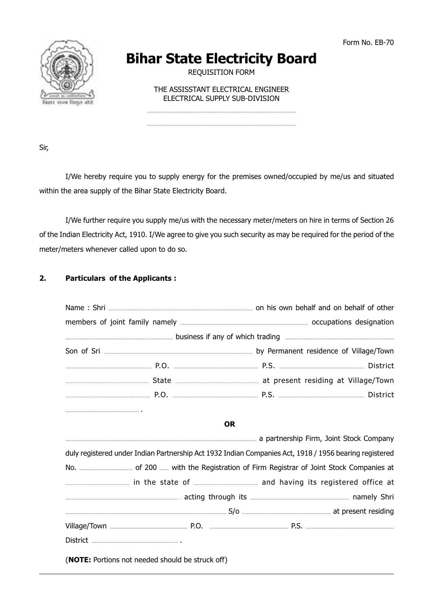

# **Bihar State Electricity Board**

**REQUISITION FORM** 

THE ASSISSTANT ELECTRICAL ENGINEER ELECTRICAL SUPPLY SUB-DIVISION

Sir,

I/We hereby require you to supply energy for the premises owned/occupied by me/us and situated within the area supply of the Bihar State Electricity Board.

I/We further require you supply me/us with the necessary meter/meters on hire in terms of Section 26 of the Indian Electricity Act, 1910. I/We agree to give you such security as may be required for the period of the meter/meters whenever called upon to do so.

#### $2.$ **Particulars of the Applicants:**

| <b>OR</b>                                                                                              |  |  |  |  |  |  |
|--------------------------------------------------------------------------------------------------------|--|--|--|--|--|--|
|                                                                                                        |  |  |  |  |  |  |
| duly registered under Indian Partnership Act 1932 Indian Companies Act, 1918 / 1956 bearing registered |  |  |  |  |  |  |
|                                                                                                        |  |  |  |  |  |  |
|                                                                                                        |  |  |  |  |  |  |
|                                                                                                        |  |  |  |  |  |  |
|                                                                                                        |  |  |  |  |  |  |
|                                                                                                        |  |  |  |  |  |  |
|                                                                                                        |  |  |  |  |  |  |
| (NOTE: Portions not needed should be struck off)                                                       |  |  |  |  |  |  |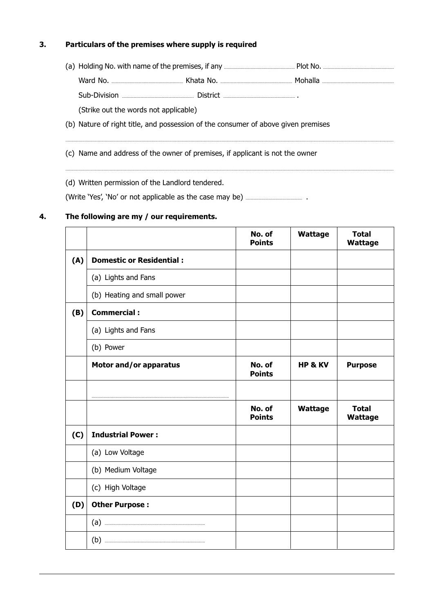#### $3.$ Particulars of the premises where supply is required

(Strike out the words not applicable)

- (b) Nature of right title, and possession of the consumer of above given premises
- (c) Name and address of the owner of premises, if applicant is not the owner

(d) Written permission of the Landlord tendered.

#### The following are my / our requirements. 4.

|     |                                 | No. of<br><b>Points</b> | Wattage            | <b>Total</b><br><b>Wattage</b> |
|-----|---------------------------------|-------------------------|--------------------|--------------------------------|
| (A) | <b>Domestic or Residential:</b> |                         |                    |                                |
|     | (a) Lights and Fans             |                         |                    |                                |
|     | (b) Heating and small power     |                         |                    |                                |
| (B) | <b>Commercial:</b>              |                         |                    |                                |
|     | (a) Lights and Fans             |                         |                    |                                |
|     | (b) Power                       |                         |                    |                                |
|     | Motor and/or apparatus          | No. of<br><b>Points</b> | <b>HP &amp; KV</b> | <b>Purpose</b>                 |
|     |                                 |                         |                    |                                |
|     |                                 | No. of<br><b>Points</b> | Wattage            | <b>Total</b><br><b>Wattage</b> |
| (C) | <b>Industrial Power:</b>        |                         |                    |                                |
|     | (a) Low Voltage                 |                         |                    |                                |
|     | (b) Medium Voltage              |                         |                    |                                |
|     | (c) High Voltage                |                         |                    |                                |
| (D) | <b>Other Purpose:</b>           |                         |                    |                                |
|     |                                 |                         |                    |                                |
|     |                                 |                         |                    |                                |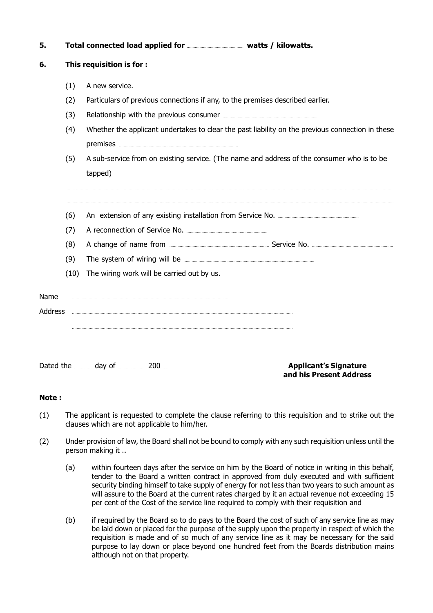| 5.      |                           |                                                                                            |                                                                                                  |  |  |
|---------|---------------------------|--------------------------------------------------------------------------------------------|--------------------------------------------------------------------------------------------------|--|--|
| 6.      | This requisition is for : |                                                                                            |                                                                                                  |  |  |
|         | (1)                       | A new service.                                                                             |                                                                                                  |  |  |
|         | (2)                       | Particulars of previous connections if any, to the premises described earlier.             |                                                                                                  |  |  |
|         | (3)                       |                                                                                            |                                                                                                  |  |  |
|         | (4)                       |                                                                                            | Whether the applicant undertakes to clear the past liability on the previous connection in these |  |  |
|         | (5)                       | A sub-service from on existing service. (The name and address of the consumer who is to be |                                                                                                  |  |  |
|         |                           | tapped)                                                                                    |                                                                                                  |  |  |
|         | (6)                       |                                                                                            |                                                                                                  |  |  |
|         | (7)                       |                                                                                            |                                                                                                  |  |  |
|         | (8)                       |                                                                                            |                                                                                                  |  |  |
|         | (9)                       |                                                                                            |                                                                                                  |  |  |
|         | (10)                      | The wiring work will be carried out by us.                                                 |                                                                                                  |  |  |
| Name    |                           |                                                                                            |                                                                                                  |  |  |
| Address |                           |                                                                                            |                                                                                                  |  |  |
|         |                           |                                                                                            |                                                                                                  |  |  |
|         |                           |                                                                                            |                                                                                                  |  |  |

**Applicant's Signature** and his Present Address

## Note:

- The applicant is requested to complete the clause referring to this requisition and to strike out the  $(1)$ clauses which are not applicable to him/her.
- $(2)$ Under provision of law, the Board shall not be bound to comply with any such requisition unless until the person making it ..
	- within fourteen days after the service on him by the Board of notice in writing in this behalf,  $(a)$ tender to the Board a written contract in approved from duly executed and with sufficient security binding himself to take supply of energy for not less than two years to such amount as will assure to the Board at the current rates charged by it an actual revenue not exceeding 15 per cent of the Cost of the service line required to comply with their requisition and
	- $(b)$ if required by the Board so to do pays to the Board the cost of such of any service line as may be laid down or placed for the purpose of the supply upon the property in respect of which the requisition is made and of so much of any service line as it may be necessary for the said purpose to lay down or place beyond one hundred feet from the Boards distribution mains although not on that property.